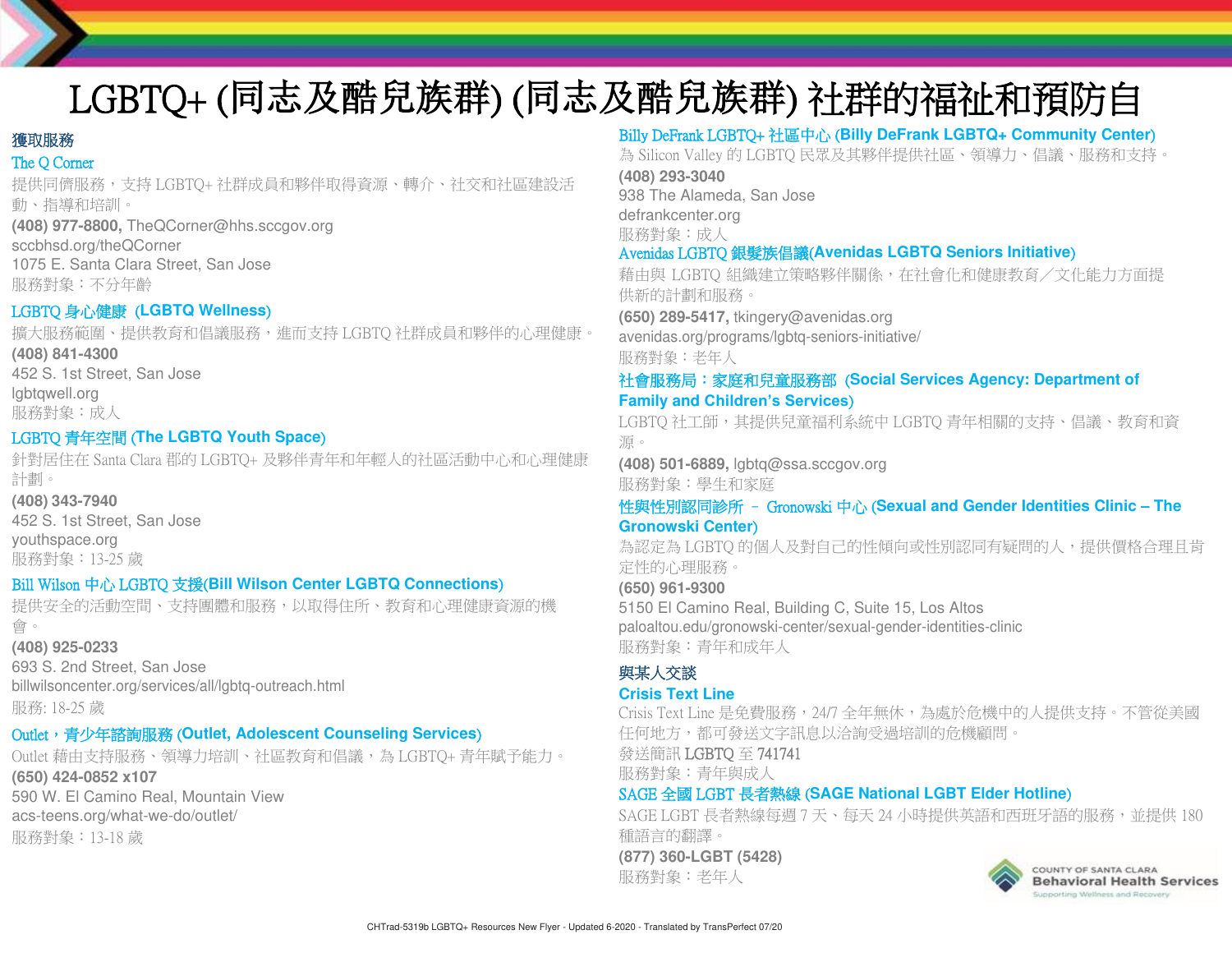## LGBTQ+ (同志及酷兒族群) (同志及酷兒族群) 社群的福祉和預防自 殺資源

## 獲取服務

## The O Corner

提供同儕服務,支持 LGBTQ+ 社群成員和夥伴取得資源、轉介、社交和社區建設活 動、指導和培訓。 **(408) 977-8800,** TheQCorner@hhs.sccgov.org sccbhsd.org/theQCorner 1075 E. Santa Clara Street, San Jose

服務對象:不分年齡

## LGBTQ 身心健康 (**LGBTQ Wellness**)

擴大服務範圍、提供教育和倡議服務,進而支持 LGBTQ 社群成員和夥伴的心理健康。 **(408) 841-4300** 452 S. 1st Street, San Jose

lgbtqwell.org 服務對象:成人

## LGBTQ 青年空間 (**The LGBTQ Youth Space**)

針對居住在 Santa Clara 郡的 LGBTQ+ 及夥伴青年和年輕人的社區活動中心和心理健康 計劃。

**(408) 343-7940** 452 S. 1st Street, San Jose youthspace.org

服務對象:13-25 歲

## Bill Wilson 中心 LGBTQ 支援(**Bill Wilson Center LGBTQ Connections**)

提供安全的活動空間、支持團體和服務,以取得住所、教育和心理健康資源的機 會。

#### **(408) 925-0233**

693 S. 2nd Street, San Jose billwilsoncenter.org/services/all/lgbtq-outreach.html 服務: 18-25 歲

## Outlet, 青少年諮詢服務 (Outlet, Adolescent Counseling Services)

Outlet 藉由支持服務、領導力培訓、社區教育和倡議,為 LGBTQ+ 青年賦予能力。

**(650) 424-0852 x107**

590 W. El Camino Real, Mountain View acs-teens.org/what-we-do/outlet/ 服務對象:13-18 歲

## Billy DeFrank LGBTQ+ 社區中心 (**Billy DeFrank LGBTQ+ Community Center**)

為 Silicon Valley 的 LGBTQ 民眾及其夥伴提供社區、領導力、倡議、服務和支持。

**(408) 293-3040** 938 The Alameda, San Jose

defrankcenter.org 服務對象:成人

## Avenidas LGBTQ 銀髮族倡議(**Avenidas LGBTQ Seniors Initiative**)

藉由與 LGBTQ 組織建立策略夥伴關係,在社會化和健康教育/文化能力方面提 供新的計劃和服務。

**(650) 289-5417,** [tkingery@avenidas.org](mailto:tkingery@avenidas.org) avenidas.org/programs/lgbtq-seniors-initiative/ 服務對象:老年人

## 社會服務局:家庭和兒童服務部 (**Social Services Agency: Department of Family and Children's Services**)

LGBTQ 社工師,其提供兒童福利系統中 LGBTQ 青年相關的支持、倡議、教育和資 源。

**(408) 501-6889,** [lgbtq@ssa.sccgov.org](mailto:lgbtq@ssa.sccgov.org) 服務對象:學生和家庭

#### 性與性別認同診所 – Gronowski 中心 (**Sexual and Gender Identities Clinic – The Gronowski Center**)

為認定為 LGBTQ 的個人及對自己的性傾向或性別認同有疑問的人,提供價格合理且肯 定性的心理服務。

**(650) 961-9300** 5150 El Camino Real, Building C, Suite 15, Los Altos paloaltou.edu/gronowski-center/sexual-gender-identities-clinic 服務對象:青年和成年人

## 與某人交談

#### **Crisis Text Line**

Crisis Text Line 是免費服務, 24/7 全年無休,為處於危機中的人提供支持。不管從美國 任何地方,都可發送文字訊息以洽詢受過培訓的危機顧問。

發送簡訊 LGBTQ 至 741741

服務對象:青年與成人

## SAGE 全國 LGBT 長者熱線 (**SAGE National LGBT Elder Hotline**)

SAGE LGBT 長者熱線每週 7 天、每天 24 小時提供英語和西班牙語的服務,並提供 180 種語言的翻譯。

**(877) 360-LGBT (5428)**

服務對象:老年人



COUNTY OF SANTA CLARA **Behavioral Health Services** innovting Wallocks and Spressers